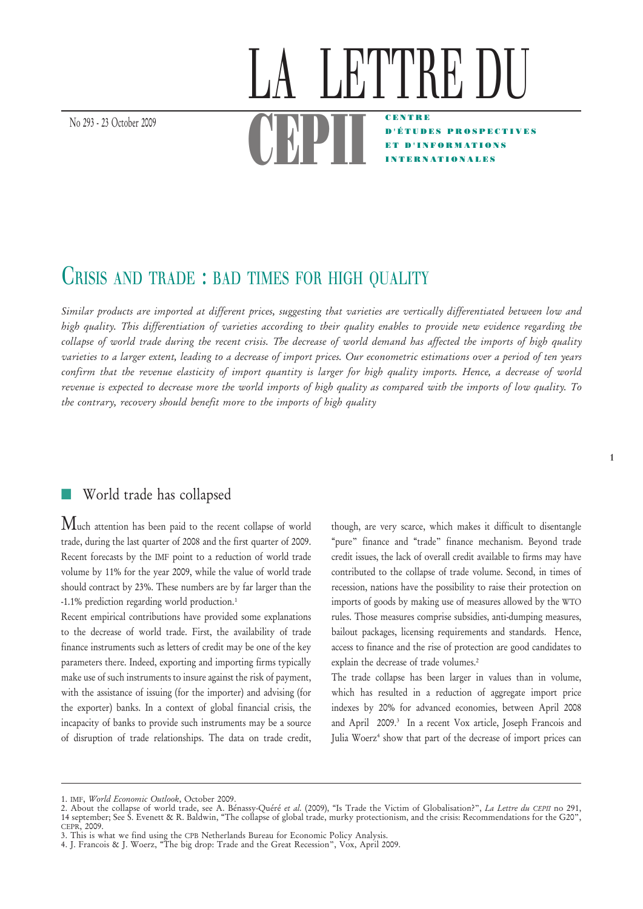# LATTRE L  $\begin{array}{c} \begin{array}{c} \text{No }293 - 23 \text{ October }2009 \end{array} \end{array}$ CENTRE D'ÉTUDES PROSPECTIVES ET D'INFORMATIONS TERNATIONALES

# CRISIS AND TRADE : BAD TIMES FOR HIGH QUALITY

*Similar products are imported at different prices, suggesting that varieties are vertically differentiated between low and high quality. This differentiation of varieties according to their quality enables to provide new evidence regarding the collapse of world trade during the recent crisis. The decrease of world demand has affected the imports of high quality varieties to a larger extent, leading to a decrease of import prices. Our econometric estimations over a period of ten years confirm that the revenue elasticity of import quantity is larger for high quality imports. Hence, a decrease of world revenue is expected to decrease more the world imports of high quality as compared with the imports of low quality. To the contrary, recovery should benefit more to the imports of high quality*

## World trade has collapsed

Much attention has been paid to the recent collapse of world trade, during the last quarter of 2008 and the first quarter of 2009. Recent forecasts by the IMF point to a reduction of world trade volume by 11% for the year 2009, while the value of world trade should contract by 23%. These numbers are by far larger than the -1.1% prediction regarding world production.1

Recent empirical contributions have provided some explanations to the decrease of world trade. First, the availability of trade finance instruments such as letters of credit may be one of the key parameters there. Indeed, exporting and importing firms typically make use of such instruments to insure against the risk of payment, with the assistance of issuing (for the importer) and advising (for the exporter) banks. In a context of global financial crisis, the incapacity of banks to provide such instruments may be a source of disruption of trade relationships. The data on trade credit,

though, are very scarce, which makes it difficult to disentangle "pure" finance and "trade" finance mechanism. Beyond trade credit issues, the lack of overall credit available to firms may have contributed to the collapse of trade volume. Second, in times of recession, nations have the possibility to raise their protection on imports of goods by making use of measures allowed by the WTO rules. Those measures comprise subsidies, anti-dumping measures, bailout packages, licensing requirements and standards. Hence, access to finance and the rise of protection are good candidates to explain the decrease of trade volumes.<sup>2</sup>

The trade collapse has been larger in values than in volume, which has resulted in a reduction of aggregate import price indexes by 20% for advanced economies, between April 2008 and April 2009.<sup>3</sup> In a recent Vox article, Joseph Francois and Julia Woerz<sup>4</sup> show that part of the decrease of import prices can

<sup>1.</sup> IMF, *World Economic Outlook*, October 2009.

<sup>2.</sup> About the collapse of world trade, see A. Bénassy-Quéré *et al.* (2009), "Is Trade the Victim of Globalisation?", *La Lettre du CEPII* no 291, 14 september; See S. Evenett & R. Baldwin, "The collapse of global trade, murky protectionism, and the crisis: Recommendations for the G20", CEPR, 2009.

<sup>3.</sup> This is what we find using the CPB Netherlands Bureau for Economic Policy Analysis.

<sup>4.</sup> J. Francois & J. Woerz, "The big drop: Trade and the Great Recession", Vox, April 2009.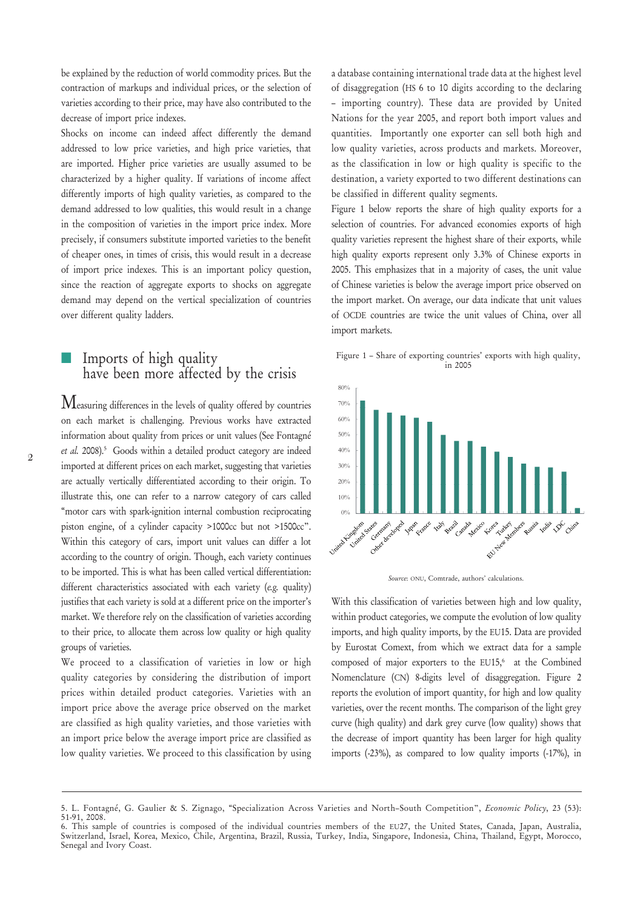be explained by the reduction of world commodity prices. But the contraction of markups and individual prices, or the selection of varieties according to their price, may have also contributed to the decrease of import price indexes.

Shocks on income can indeed affect differently the demand addressed to low price varieties, and high price varieties, that are imported. Higher price varieties are usually assumed to be characterized by a higher quality. If variations of income affect differently imports of high quality varieties, as compared to the demand addressed to low qualities, this would result in a change in the composition of varieties in the import price index. More precisely, if consumers substitute imported varieties to the benefit of cheaper ones, in times of crisis, this would result in a decrease of import price indexes. This is an important policy question, since the reaction of aggregate exports to shocks on aggregate demand may depend on the vertical specialization of countries over different quality ladders.

#### Imports of high quality have been more affected by the crisis

Measuring differences in the levels of quality offered by countries on each market is challenging. Previous works have extracted information about quality from prices or unit values (See Fontagné et al. 2008).<sup>5</sup> Goods within a detailed product category are indeed imported at different prices on each market, suggesting that varieties are actually vertically differentiated according to their origin. To illustrate this, one can refer to a narrow category of cars called "motor cars with spark-ignition internal combustion reciprocating piston engine, of a cylinder capacity >1000cc but not >1500cc". Within this category of cars, import unit values can differ a lot according to the country of origin. Though, each variety continues to be imported. This is what has been called vertical differentiation: different characteristics associated with each variety (*e.g.* quality) justifies that each variety is sold at a different price on the importer's market. We therefore rely on the classification of varieties according to their price, to allocate them across low quality or high quality groups of varieties.

We proceed to a classification of varieties in low or high quality categories by considering the distribution of import prices within detailed product categories. Varieties with an import price above the average price observed on the market are classified as high quality varieties, and those varieties with an import price below the average import price are classified as low quality varieties. We proceed to this classification by using a database containing international trade data at the highest level of disaggregation (HS 6 to 10 digits according to the declaring – importing country). These data are provided by United Nations for the year 2005, and report both import values and quantities. Importantly one exporter can sell both high and low quality varieties, across products and markets. Moreover, as the classification in low or high quality is specific to the destination, a variety exported to two different destinations can be classified in different quality segments.

Figure 1 below reports the share of high quality exports for a selection of countries. For advanced economies exports of high quality varieties represent the highest share of their exports, while high quality exports represent only 3.3% of Chinese exports in 2005. This emphasizes that in a majority of cases, the unit value of Chinese varieties is below the average import price observed on the import market. On average, our data indicate that unit values of OCDE countries are twice the unit values of China, over all import markets.







With this classification of varieties between high and low quality, within product categories, we compute the evolution of low quality imports, and high quality imports, by the EU15. Data are provided by Eurostat Comext, from which we extract data for a sample composed of major exporters to the EU15, $6$  at the Combined Nomenclature (CN) 8-digits level of disaggregation. Figure 2 reports the evolution of import quantity, for high and low quality varieties, over the recent months. The comparison of the light grey curve (high quality) and dark grey curve (low quality) shows that the decrease of import quantity has been larger for high quality imports (-23%), as compared to low quality imports (-17%), in

<sup>5.</sup> L. Fontagné, G. Gaulier & S. Zignago, "Specialization Across Varieties and North–South Competition", *Economic Policy*, 23 (53): 51-91, 2008.

<sup>6.</sup> This sample of countries is composed of the individual countries members of the EU27, the United States, Canada, Japan, Australia, Switzerland, Israel, Korea, Mexico, Chile, Argentina, Brazil, Russia, Turkey, India, Singapore, Indonesia, China, Thailand, Egypt, Morocco, Senegal and Ivory Coast.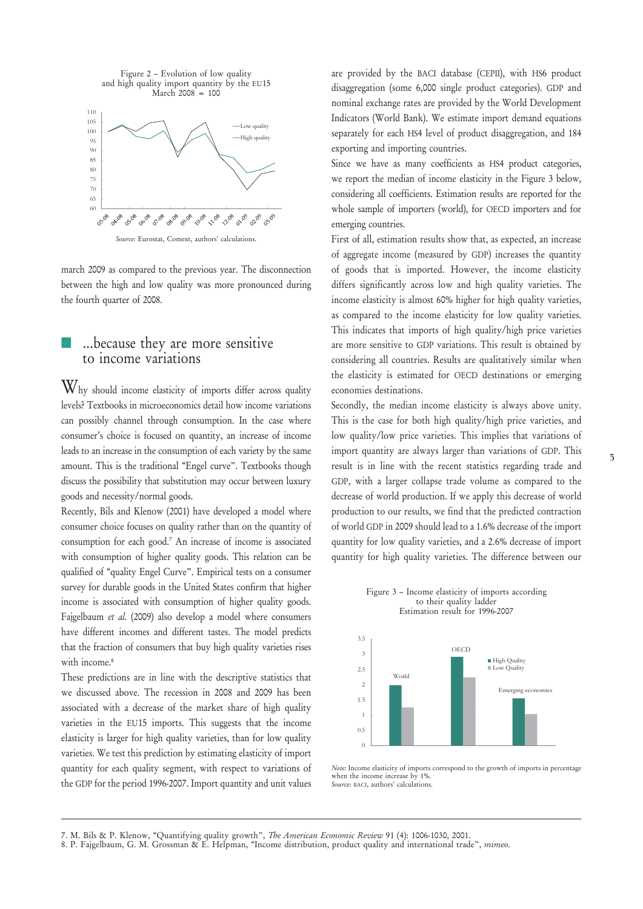

*Source*: Eurostat, Comext, authors' calculations.

march 2009 as compared to the previous year. The disconnection between the high and low quality was more pronounced during the fourth quarter of 2008.

#### ...because they are more sensitive to income variations

Why should income elasticity of imports differ across quality levels? Textbooks in microeconomics detail how income variations can possibly channel through consumption. In the case where consumer's choice is focused on quantity, an increase of income leads to an increase in the consumption of each variety by the same amount. This is the traditional "Engel curve". Textbooks though discuss the possibility that substitution may occur between luxury goods and necessity/normal goods.

Recently, Bils and Klenow (2001) have developed a model where consumer choice focuses on quality rather than on the quantity of consumption for each good.7 An increase of income is associated with consumption of higher quality goods. This relation can be qualified of "quality Engel Curve". Empirical tests on a consumer survey for durable goods in the United States confirm that higher income is associated with consumption of higher quality goods. Fajgelbaum *et al.* (2009) also develop a model where consumers have different incomes and different tastes. The model predicts that the fraction of consumers that buy high quality varieties rises with income.<sup>8</sup>

These predictions are in line with the descriptive statistics that we discussed above. The recession in 2008 and 2009 has been associated with a decrease of the market share of high quality varieties in the EU15 imports. This suggests that the income elasticity is larger for high quality varieties, than for low quality varieties. We test this prediction by estimating elasticity of import quantity for each quality segment, with respect to variations of the GDP for the period 1996-2007. Import quantity and unit values

are provided by the BACI database (CEPII), with HS6 product disaggregation (some 6,000 single product categories). GDP and nominal exchange rates are provided by the World Development Indicators (World Bank). We estimate import demand equations separately for each HS4 level of product disaggregation, and 184 exporting and importing countries.

Since we have as many coefficients as HS4 product categories, we report the median of income elasticity in the Figure 3 below, considering all coefficients. Estimation results are reported for the whole sample of importers (world), for OECD importers and for emerging countries.

First of all, estimation results show that, as expected, an increase of aggregate income (measured by GDP) increases the quantity of goods that is imported. However, the income elasticity differs significantly across low and high quality varieties. The income elasticity is almost 60% higher for high quality varieties, as compared to the income elasticity for low quality varieties. This indicates that imports of high quality/high price varieties are more sensitive to GDP variations. This result is obtained by considering all countries. Results are qualitatively similar when the elasticity is estimated for OECD destinations or emerging economies destinations.

Secondly, the median income elasticity is always above unity. This is the case for both high quality/high price varieties, and low quality/low price varieties. This implies that variations of import quantity are always larger than variations of GDP. This result is in line with the recent statistics regarding trade and GDP, with a larger collapse trade volume as compared to the decrease of world production. If we apply this decrease of world production to our results, we find that the predicted contraction of world GDP in 2009 should lead to a 1.6% decrease of the import quantity for low quality varieties, and a 2.6% decrease of import quantity for high quality varieties. The difference between our



*Note:* Income elasticity of imports correspond to the growth of imports in percentage when the income increase by 1%. *Source*: BACI, authors' calculations.

<sup>7.</sup> M. Bils & P. Klenow, "Quantifying quality growth", *The American Economic Review* 91 (4): 1006-1030, 2001.

<sup>8.</sup> P. Fajgelbaum, G. M. Grossman & E. Helpman, "Income distribution, product quality and international trade", *mimeo*.